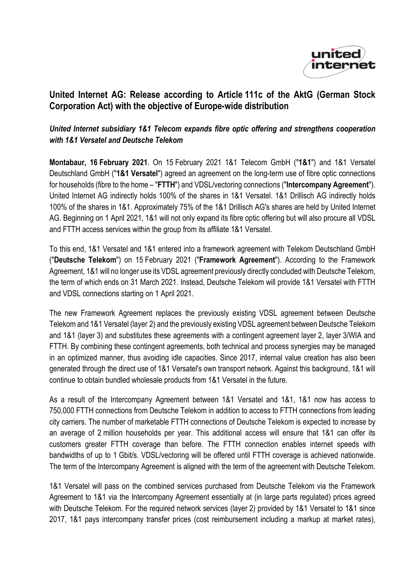

## **United Internet AG: Release according to Article 111c of the AktG (German Stock Corporation Act) with the objective of Europe-wide distribution**

## *United Internet subsidiary 1&1 Telecom expands fibre optic offering and strengthens cooperation with 1&1 Versatel and Deutsche Telekom*

**Montabaur, 16 February 2021**. On 15 February 2021 1&1 Telecom GmbH ("**1&1**") and 1&1 Versatel Deutschland GmbH ("**1&1 Versatel**") agreed an agreement on the long-term use of fibre optic connections for households (fibre to the home – "**FTTH**") and VDSL/vectoring connections ("**Intercompany Agreement**"). United Internet AG indirectly holds 100% of the shares in 1&1 Versatel. 1&1 Drillisch AG indirectly holds 100% of the shares in 1&1. Approximately 75% of the 1&1 Drillisch AG's shares are held by United Internet AG. Beginning on 1 April 2021, 1&1 will not only expand its fibre optic offering but will also procure all VDSL and FTTH access services within the group from its affiliate 1&1 Versatel.

To this end, 1&1 Versatel and 1&1 entered into a framework agreement with Telekom Deutschland GmbH ("**Deutsche Telekom**") on 15 February 2021 ("**Framework Agreement**"). According to the Framework Agreement, 1&1 will no longer use its VDSL agreement previously directly concluded with Deutsche Telekom, the term of which ends on 31 March 2021. Instead, Deutsche Telekom will provide 1&1 Versatel with FTTH and VDSL connections starting on 1 April 2021.

The new Framework Agreement replaces the previously existing VDSL agreement between Deutsche Telekom and 1&1 Versatel (layer 2) and the previously existing VDSL agreement between Deutsche Telekom and 1&1 (layer 3) and substitutes these agreements with a contingent agreement layer 2, layer 3/WIA and FTTH. By combining these contingent agreements, both technical and process synergies may be managed in an optimized manner, thus avoiding idle capacities. Since 2017, internal value creation has also been generated through the direct use of 1&1 Versatel's own transport network. Against this background, 1&1 will continue to obtain bundled wholesale products from 1&1 Versatel in the future.

As a result of the Intercompany Agreement between 1&1 Versatel and 1&1, 1&1 now has access to 750,000 FTTH connections from Deutsche Telekom in addition to access to FTTH connections from leading city carriers. The number of marketable FTTH connections of Deutsche Telekom is expected to increase by an average of 2 million households per year. This additional access will ensure that 1&1 can offer its customers greater FTTH coverage than before. The FTTH connection enables internet speeds with bandwidths of up to 1 Gbit/s. VDSL/vectoring will be offered until FTTH coverage is achieved nationwide. The term of the Intercompany Agreement is aligned with the term of the agreement with Deutsche Telekom.

1&1 Versatel will pass on the combined services purchased from Deutsche Telekom via the Framework Agreement to 1&1 via the Intercompany Agreement essentially at (in large parts regulated) prices agreed with Deutsche Telekom. For the required network services (layer 2) provided by 1&1 Versatel to 1&1 since 2017, 1&1 pays intercompany transfer prices (cost reimbursement including a markup at market rates),